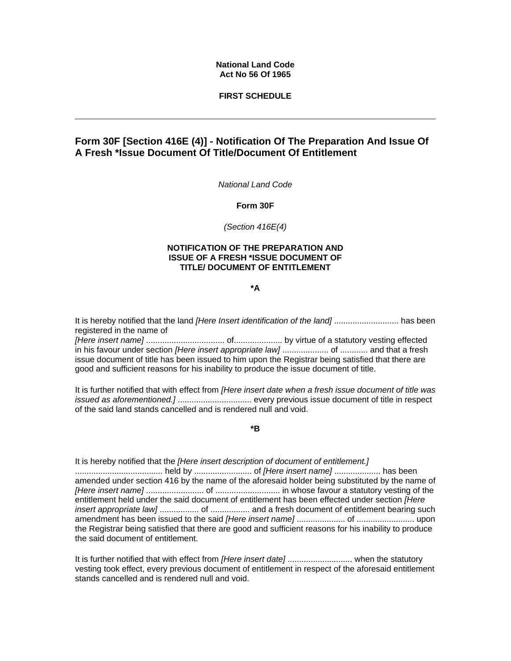## **National Land Code Act No 56 Of 1965**

## **FIRST SCHEDULE**

## **Form 30F [Section 416E (4)] - Notification Of The Preparation And Issue Of A Fresh \*Issue Document Of Title/Document Of Entitlement**

*National Land Code* 

**Form 30F**

*(Section 416E(4)*

## **NOTIFICATION OF THE PREPARATION AND ISSUE OF A FRESH \*ISSUE DOCUMENT OF TITLE/ DOCUMENT OF ENTITLEMENT**

**\*A** 

It is hereby notified that the land *[Here Insert identification of the land]* ............................ has been registered in the name of

*[Here insert name]* .................................. of..................... by virtue of a statutory vesting effected in his favour under section *[Here insert appropriate law]* .................... of ............ and that a fresh issue document of title has been issued to him upon the Registrar being satisfied that there are good and sufficient reasons for his inability to produce the issue document of title.

It is further notified that with effect from *[Here insert date when a fresh issue document of title was issued as aforementioned.]* ................................ every previous issue document of title in respect of the said land stands cancelled and is rendered null and void.

**\*B** 

It is hereby notified that the *[Here insert description of document of entitlement.]* ...................................... held by ......................... of *[Here insert name]* .................... has been amended under section 416 by the name of the aforesaid holder being substituted by the name of *[Here insert name]* ......................... of ............................ in whose favour a statutory vesting of the entitlement held under the said document of entitlement has been effected under section *[Here insert appropriate law]* ................. of ................. and a fresh document of entitlement bearing such amendment has been issued to the said *[Here insert name]* ..................... of ......................... upon the Registrar being satisfied that there are good and sufficient reasons for his inability to produce the said document of entitlement.

It is further notified that with effect from *[Here insert date]* ............................ when the statutory vesting took effect, every previous document of entitlement in respect of the aforesaid entitlement stands cancelled and is rendered null and void.